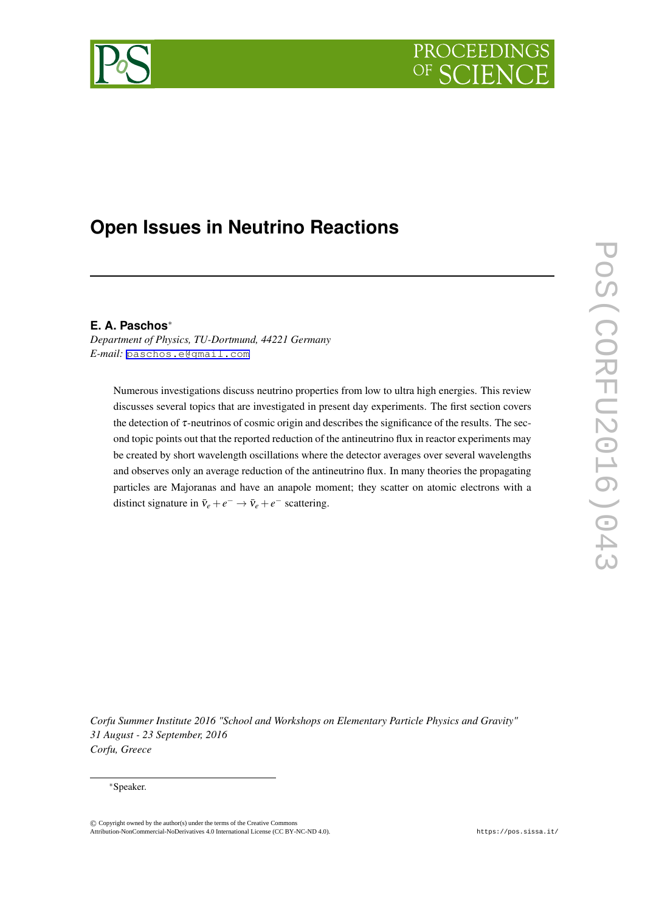# PROCEEDIN



# **Open Issues in Neutrino Reactions**

# **E. A. Paschos***∗*

*Department of Physics, TU-Dortmund, 44221 Germany E-mail:* [paschos.e@gmail.com](mailto:paschos.e@gmail.com)

Numerous investigations discuss neutrino properties from low to ultra high energies. This review discusses several topics that are investigated in present day experiments. The first section covers the detection of  $\tau$ -neutrinos of cosmic origin and describes the significance of the results. The second topic points out that the reported reduction of the antineutrino flux in reactor experiments may be created by short wavelength oscillations where the detector averages over several wavelengths and observes only an average reduction of the antineutrino flux. In many theories the propagating particles are Majoranas and have an anapole moment; they scatter on atomic electrons with a distinct signature in  $\bar{v}_e + e^- \rightarrow \bar{v}_e + e^-$  scattering.

*Corfu Summer Institute 2016 "School and Workshops on Elementary Particle Physics and Gravity" 31 August - 23 September, 2016 Corfu, Greece*

#### *∗*Speaker.

©*⃝*<sup>c</sup> Copyright owned by the author(s) under the terms of the Creative Commons Copyright owned by the author(s) under the terms of the Creative Commons Attribution-NonCommercial-ShareAlike Licence. http://pos.sissa.it/ Attribution-NonCommercial-NoDerivatives 4.0 International License (CC BY-NC-ND 4.0).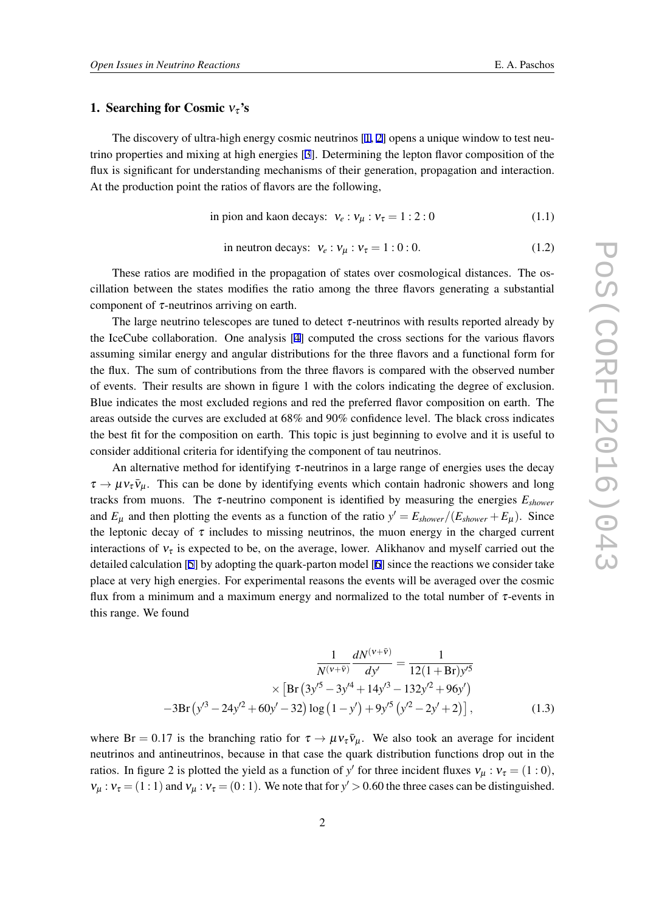#### 1. Searching for Cosmic  $v_\tau$ 's

The discovery of ultra-high energy cosmic neutrinos  $[1, 2]$  $[1, 2]$  $[1, 2]$  $[1, 2]$  $[1, 2]$  opens a unique window to test neutrino properties and mixing at high energies [[3](#page-6-0)]. Determining the lepton flavor composition of the flux is significant for understanding mechanisms of their generation, propagation and interaction. At the production point the ratios of flavors are the following,

in pion and kaon decays: 
$$
v_e : v_\mu : v_\tau = 1 : 2 : 0
$$
 (1.1)

in neutron decays: 
$$
v_e : v_\mu : v_\tau = 1 : 0 : 0.
$$
 (1.2)

These ratios are modified in the propagation of states over cosmological distances. The oscillation between the states modifies the ratio among the three flavors generating a substantial component of  $\tau$ -neutrinos arriving on earth.

The large neutrino telescopes are tuned to detect  $\tau$ -neutrinos with results reported already by the IceCube collaboration. One analysis [[4](#page-6-0)] computed the cross sections for the various flavors assuming similar energy and angular distributions for the three flavors and a functional form for the flux. The sum of contributions from the three flavors is compared with the observed number of events. Their results are shown in figure 1 with the colors indicating the degree of exclusion. Blue indicates the most excluded regions and red the preferred flavor composition on earth. The areas outside the curves are excluded at 68% and 90% confidence level. The black cross indicates the best fit for the composition on earth. This topic is just beginning to evolve and it is useful to consider additional criteria for identifying the component of tau neutrinos.

An alternative method for identifying  $\tau$ -neutrinos in a large range of energies uses the decay  $\tau \to \mu v_{\tau} \bar{v}_{\mu}$ . This can be done by identifying events which contain hadronic showers and long tracks from muons. The <sup>τ</sup>-neutrino component is identified by measuring the energies *Eshower* and  $E_{\mu}$  and then plotting the events as a function of the ratio  $y' = E_{shower}/(E_{shower} + E_{\mu})$ . Since the leptonic decay of  $\tau$  includes to missing neutrinos, the muon energy in the charged current interactions of  $v_{\tau}$  is expected to be, on the average, lower. Alikhanov and myself carried out the detailed calculation [[5](#page-6-0)] by adopting the quark-parton model [\[6\]](#page-6-0) since the reactions we consider take place at very high energies. For experimental reasons the events will be averaged over the cosmic flux from a minimum and a maximum energy and normalized to the total number of  $\tau$ -events in this range. We found

$$
\frac{1}{N^{(\nu+\bar{\nu})}}\frac{dN^{(\nu+\bar{\nu})}}{dy'} = \frac{1}{12(1+Br)y'^5}
$$

$$
\times \left[Br(3y'^5 - 3y'^4 + 14y'^3 - 132y'^2 + 96y')\right]
$$

$$
-3Br(y'^3 - 24y'^2 + 60y' - 32) \log(1-y') + 9y'^5(y'^2 - 2y' + 2)\right],
$$
(1.3)

where Br = 0.17 is the branching ratio for  $\tau \to \mu v_\tau \bar{v}_\mu$ . We also took an average for incident neutrinos and antineutrinos, because in that case the quark distribution functions drop out in the ratios. In figure 2 is plotted the yield as a function of *y'* for three incident fluxes  $v_{\mu} : v_{\tau} = (1:0)$ ,  $v_{\mu}$ :  $v_{\tau} = (1:1)$  and  $v_{\mu}$ :  $v_{\tau} = (0:1)$ . We note that for  $y' > 0.60$  the three cases can be distinguished.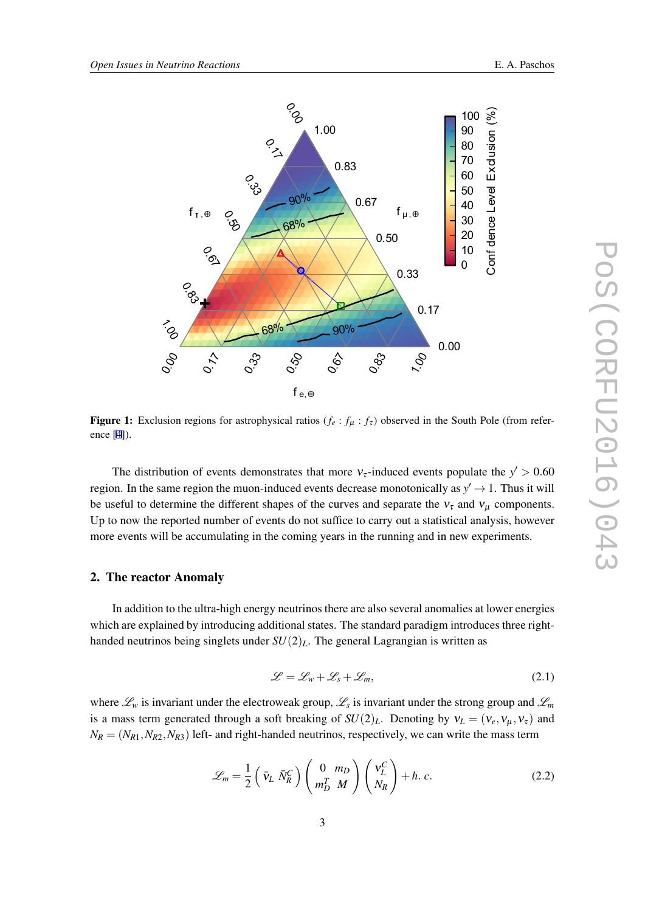

Figure 1: Exclusion regions for astrophysical ratios  $(f_e : f_\mu : f_\tau)$  observed in the South Pole (from reference [\[4](#page-6-0)]).

The distribution of events demonstrates that more  $v<sub>\tau</sub>$ -induced events populate the  $y' > 0.60$ region. In the same region the muon-induced events decrease monotonically as  $y' \rightarrow 1$ . Thus it will be useful to determine the different shapes of the curves and separate the  $v<sub>\tau</sub>$  and  $v<sub>\mu</sub>$  components. Up to now the reported number of events do not suffice to carry out a statistical analysis, however more events will be accumulating in the coming years in the running and in new experiments.

#### 2. The reactor Anomaly

In addition to the ultra-high energy neutrinos there are also several anomalies at lower energies which are explained by introducing additional states. The standard paradigm introduces three righthanded neutrinos being singlets under  $SU(2)_L$ . The general Lagrangian is written as

$$
\mathcal{L} = \mathcal{L}_w + \mathcal{L}_s + \mathcal{L}_m, \tag{2.1}
$$

where *L<sup>w</sup>* is invariant under the electroweak group, *L<sup>s</sup>* is invariant under the strong group and *L<sup>m</sup>* is a mass term generated through a soft breaking of  $SU(2)_L$ . Denoting by  $v_L = (v_e, v_\mu, v_\tau)$  and  $N_R = (N_{R1}, N_{R2}, N_{R3})$  left- and right-handed neutrinos, respectively, we can write the mass term

$$
\mathscr{L}_m = \frac{1}{2} \left( \bar{\mathbf{v}}_L \bar{N}_R^C \right) \left( \begin{array}{c} 0 & m_D \\ m_D^T & M \end{array} \right) \left( \begin{array}{c} \mathbf{v}_L^C \\ N_R \end{array} \right) + h. \, c. \tag{2.2}
$$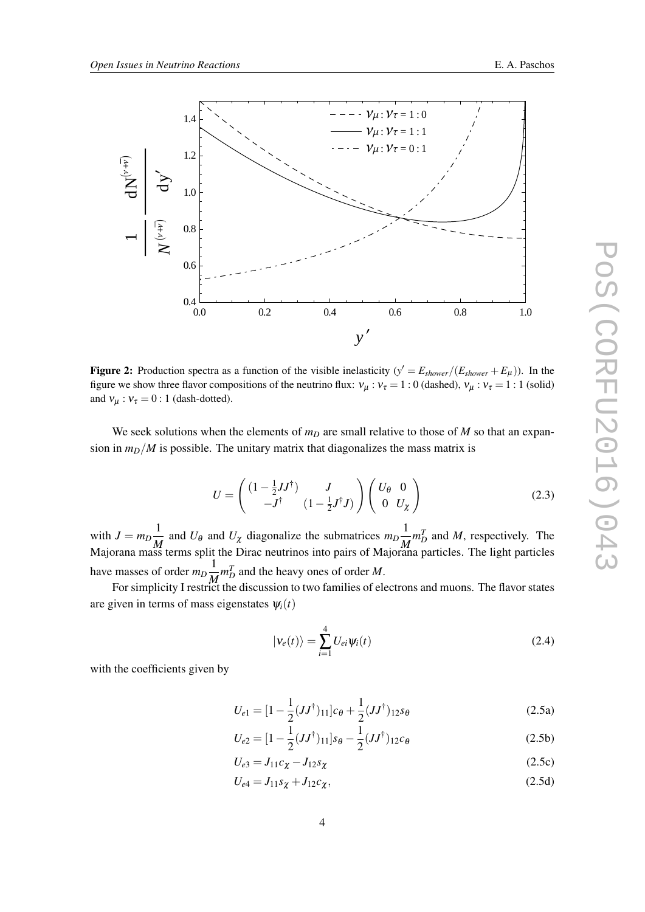<span id="page-3-0"></span>

Figure 2: Production spectra as a function of the visible inelasticity  $(y' = E_{shower}/(E_{shower} + E_{\mu}))$ . In the figure we show three flavor compositions of the neutrino flux:  $v_\mu : v_\tau = 1 : 0$  (dashed),  $v_\mu : v_\tau = 1 : 1$  (solid) and  $v_\mu$ :  $v_\tau = 0$ : 1 (dash-dotted).

We seek solutions when the elements of  $m<sub>D</sub>$  are small relative to those of *M* so that an expansion in  $m_D/M$  is possible. The unitary matrix that diagonalizes the mass matrix is

$$
U = \begin{pmatrix} \left(1 - \frac{1}{2}JJ^{\dagger}\right) & J \\ -J^{\dagger} & \left(1 - \frac{1}{2}J^{\dagger}J\right) \end{pmatrix} \begin{pmatrix} U_{\theta} & 0 \\ 0 & U_{\chi} \end{pmatrix}
$$
(2.3)

with  $J = m_D \frac{1}{M}$  $\frac{1}{M}$  and *U*<sub>θ</sub> and *U*<sub>χ</sub> diagonalize the submatrices  $m_D \frac{1}{M}$  $\frac{1}{M}m_D^T$  and *M*, respectively. The Majorana mass terms split the Dirac neutrinos into pairs of Majorana particles. The light particles have masses of order  $m_D \frac{1}{M}$  $\frac{1}{M} m_D^T$  and the heavy ones of order *M*.

For simplicity I restrict the discussion to two families of electrons and muons. The flavor states are given in terms of mass eigenstates  $\psi_i(t)$ 

$$
|\nu_e(t)\rangle = \sum_{i=1}^4 U_{ei}\psi_i(t)
$$
 (2.4)

with the coefficients given by

$$
U_{e1} = [1 - \frac{1}{2}(JJ^{\dagger})_{11}]c_{\theta} + \frac{1}{2}(JJ^{\dagger})_{12}s_{\theta}
$$
 (2.5a)

$$
U_{e2} = [1 - \frac{1}{2}(JJ^{\dagger})_{11}]s_{\theta} - \frac{1}{2}(JJ^{\dagger})_{12}c_{\theta}
$$
 (2.5b)

$$
U_{e3} = J_{11}c_{\chi} - J_{12}s_{\chi}
$$
 (2.5c)

$$
U_{e4} = J_{11} s_{\chi} + J_{12} c_{\chi}, \tag{2.5d}
$$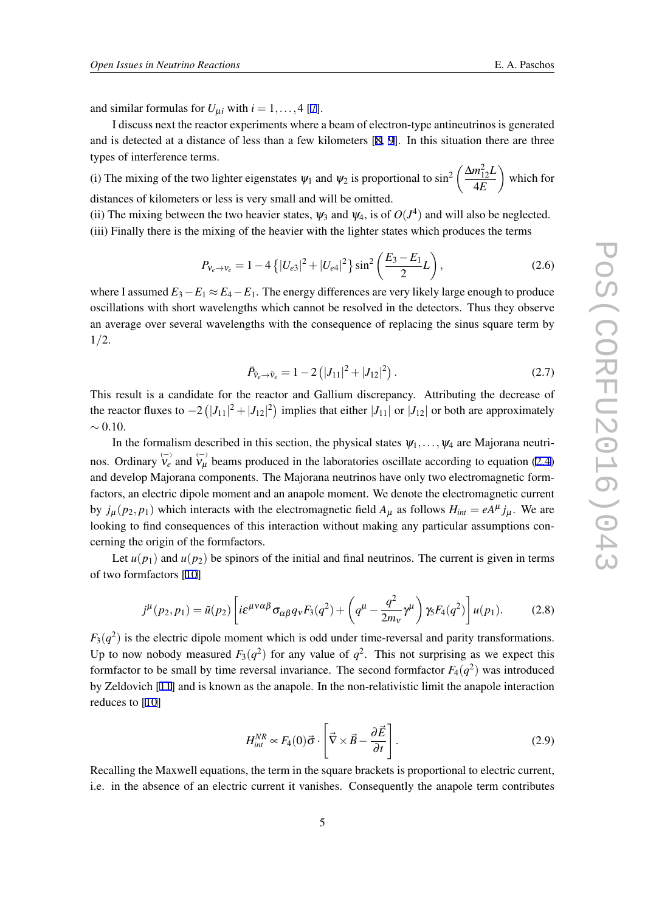and similar formulas for  $U_{\mu i}$  with  $i = 1, \ldots, 4$  [[7](#page-6-0)].

I discuss next the reactor experiments where a beam of electron-type antineutrinos is generated and is detected at a distance of less than a few kilometers [[8](#page-6-0), [9\]](#page-6-0). In this situation there are three types of interference terms.

(i) The mixing of the two lighter eigenstates  $\psi_1$  and  $\psi_2$  is proportional to sin<sup>2</sup>  $\left(\frac{\Delta m_{12}^2 L}{4E}\right)$ 4*E*  $\setminus$ which for distances of kilometers or less is very small and will be omitted.

(ii) The mixing between the two heavier states,  $\psi_3$  and  $\psi_4$ , is of  $O(J^4)$  and will also be neglected. (iii) Finally there is the mixing of the heavier with the lighter states which produces the terms

$$
P_{v_e \to v_e} = 1 - 4\left\{ |U_{e3}|^2 + |U_{e4}|^2 \right\} \sin^2\left(\frac{E_3 - E_1}{2}L\right),\tag{2.6}
$$

where I assumed  $E_3 - E_1 \approx E_4 - E_1$ . The energy differences are very likely large enough to produce oscillations with short wavelengths which cannot be resolved in the detectors. Thus they observe an average over several wavelengths with the consequence of replacing the sinus square term by 1*/*2.

$$
\bar{P}_{\bar{v}_e \to \bar{v}_e} = 1 - 2(|J_{11}|^2 + |J_{12}|^2). \tag{2.7}
$$

This result is a candidate for the reactor and Gallium discrepancy. Attributing the decrease of the reactor fluxes to *−*2 ( *|J*11*|* <sup>2</sup> <sup>+</sup>*|J*12*<sup>|</sup>* 2 ) implies that either *|J*11*|* or *|J*12*|* or both are approximately *∼* 0*.*10.

In the formalism described in this section, the physical states  $\psi_1, \dots, \psi_4$  are Majorana neutrinos. Ordinary  $\bigvee_{\nu}^{(-)}$  and  $\bigvee_{\mu}^{(-)}$  beams produced in the laboratories oscillate according to equation ([2.4](#page-3-0)) and develop Majorana components. The Majorana neutrinos have only two electromagnetic formfactors, an electric dipole moment and an anapole moment. We denote the electromagnetic current by  $j_{\mu}(p_2, p_1)$  which interacts with the electromagnetic field  $A_{\mu}$  as follows  $H_{int} = eA^{\mu} j_{\mu}$ . We are looking to find consequences of this interaction without making any particular assumptions concerning the origin of the formfactors.

Let  $u(p_1)$  and  $u(p_2)$  be spinors of the initial and final neutrinos. The current is given in terms of two formfactors [\[10](#page-6-0)]

$$
j^{\mu}(p_2, p_1) = \bar{u}(p_2) \left[ i \varepsilon^{\mu \nu \alpha \beta} \sigma_{\alpha \beta} q_{\nu} F_3(q^2) + \left( q^{\mu} - \frac{q^2}{2m_{\nu}} \gamma^{\mu} \right) \gamma_5 F_4(q^2) \right] u(p_1).
$$
 (2.8)

 $F_3(q^2)$  is the electric dipole moment which is odd under time-reversal and parity transformations. Up to now nobody measured  $F_3(q^2)$  for any value of  $q^2$ . This not surprising as we expect this formfactor to be small by time reversal invariance. The second formfactor  $F_4(q^2)$  was introduced by Zeldovich [\[11](#page-6-0)] and is known as the anapole. In the non-relativistic limit the anapole interaction reduces to [\[10](#page-6-0)]

$$
H_{int}^{NR} \propto F_4(0)\vec{\sigma} \cdot \left[\vec{\nabla} \times \vec{B} - \frac{\partial \vec{E}}{\partial t}\right].
$$
 (2.9)

Recalling the Maxwell equations, the term in the square brackets is proportional to electric current, i.e. in the absence of an electric current it vanishes. Consequently the anapole term contributes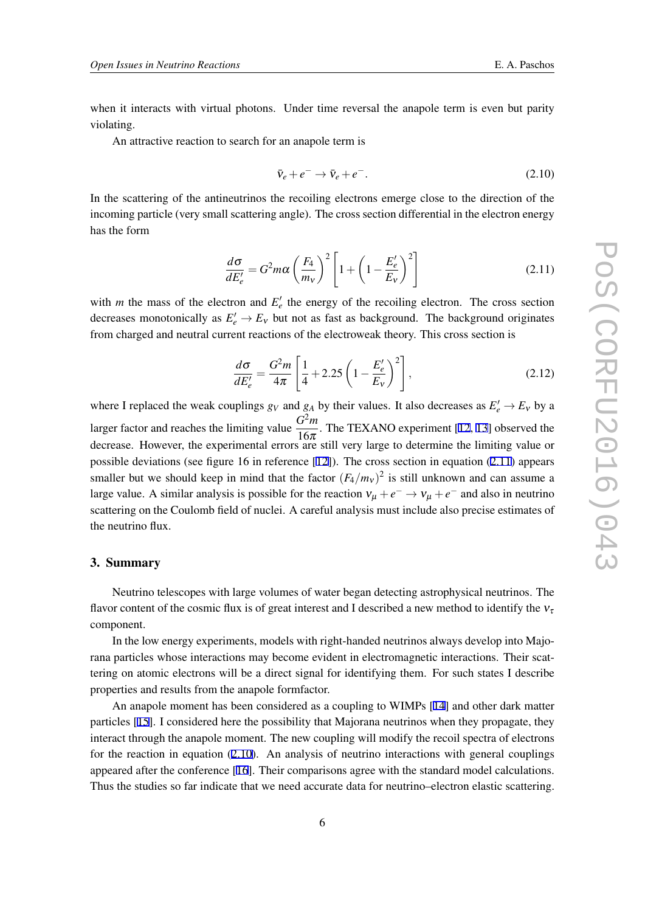when it interacts with virtual photons. Under time reversal the anapole term is even but parity violating.

An attractive reaction to search for an anapole term is

$$
\bar{\mathbf{v}}_e + e^- \to \bar{\mathbf{v}}_e + e^-.
$$
\n
$$
(2.10)
$$

In the scattering of the antineutrinos the recoiling electrons emerge close to the direction of the incoming particle (very small scattering angle). The cross section differential in the electron energy has the form

$$
\frac{d\sigma}{dE_e'} = G^2 m \alpha \left(\frac{F_4}{m_V}\right)^2 \left[1 + \left(1 - \frac{E_e'}{E_V}\right)^2\right]
$$
\n(2.11)

with *m* the mass of the electron and  $E'_{e}$  the energy of the recoiling electron. The cross section decreases monotonically as  $E'_e \to E_v$  but not as fast as background. The background originates from charged and neutral current reactions of the electroweak theory. This cross section is

$$
\frac{d\sigma}{dE_e'} = \frac{G^2 m}{4\pi} \left[ \frac{1}{4} + 2.25 \left( 1 - \frac{E_e'}{E_v} \right)^2 \right],
$$
\n(2.12)

where I replaced the weak couplings  $g_V$  and  $g_A$  by their values. It also decreases as  $E'_e \to E_V$  by a larger factor and reaches the limiting value  $\frac{G^2m}{16}$  $\frac{3m}{16\pi}$ . The TEXANO experiment [\[12](#page-6-0), [13](#page-6-0)] observed the decrease. However, the experimental errors are still very large to determine the limiting value or possible deviations (see figure 16 in reference [[12\]](#page-6-0)). The cross section in equation (2.11) appears smaller but we should keep in mind that the factor  $(F_4/m_v)^2$  is still unknown and can assume a large value. A similar analysis is possible for the reaction  $v_{\mu} + e^{-} \rightarrow v_{\mu} + e^{-}$  and also in neutrino scattering on the Coulomb field of nuclei. A careful analysis must include also precise estimates of the neutrino flux.

#### 3. Summary

Neutrino telescopes with large volumes of water began detecting astrophysical neutrinos. The flavor content of the cosmic flux is of great interest and I described a new method to identify the  $v_{\tau}$ component.

In the low energy experiments, models with right-handed neutrinos always develop into Majorana particles whose interactions may become evident in electromagnetic interactions. Their scattering on atomic electrons will be a direct signal for identifying them. For such states I describe properties and results from the anapole formfactor.

An anapole moment has been considered as a coupling to WIMPs [\[14\]](#page-6-0) and other dark matter particles [[15\]](#page-6-0). I considered here the possibility that Majorana neutrinos when they propagate, they interact through the anapole moment. The new coupling will modify the recoil spectra of electrons for the reaction in equation (2.10). An analysis of neutrino interactions with general couplings appeared after the conference [\[16](#page-6-0)]. Their comparisons agree with the standard model calculations. Thus the studies so far indicate that we need accurate data for neutrino–electron elastic scattering.